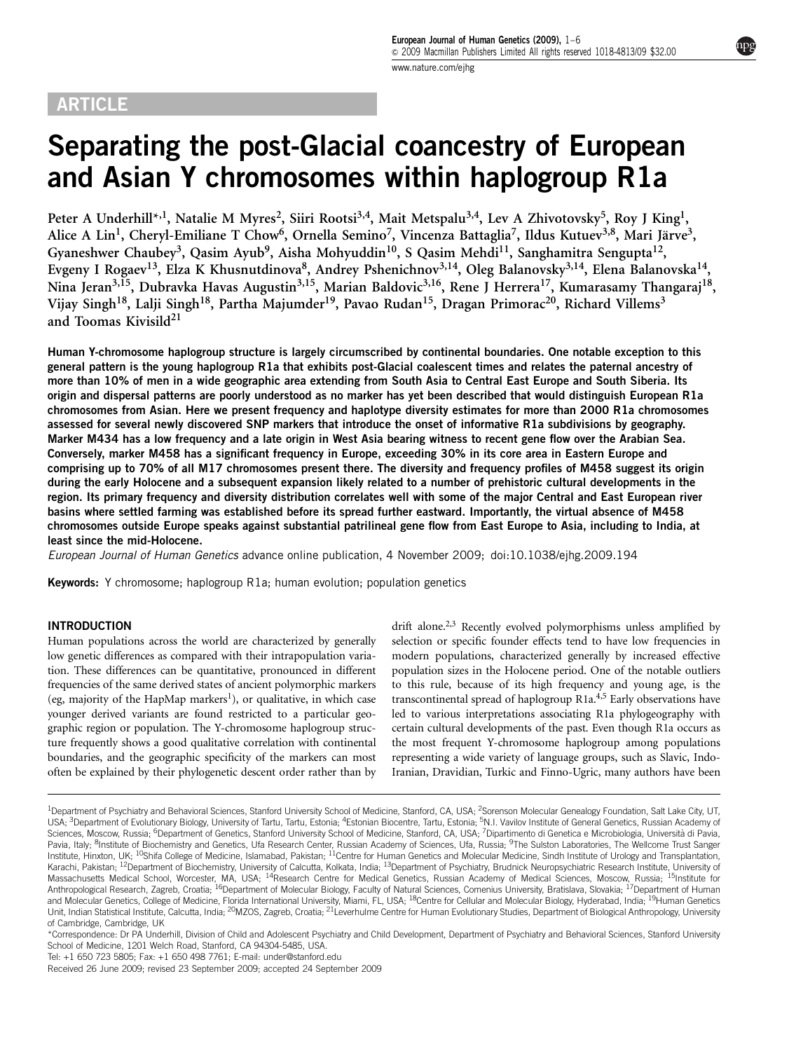## **ARTICLE**

# Separating the post-Glacial coancestry of European and Asian Y chromosomes within haplogroup R1a

Peter A Underhill\*<sup>,1</sup>, Natalie M Myres<sup>2</sup>, Siiri Rootsi<sup>3,4</sup>, Mait Metspalu<sup>3,4</sup>, Lev A Zhivotovsky<sup>5</sup>, Roy J King<sup>1</sup>, Alice A Lin<sup>1</sup>, Cheryl-Emiliane T Chow<sup>6</sup>, Ornella Semino<sup>7</sup>, Vincenza Battaglia<sup>7</sup>, Ildus Kutuev<sup>3,8</sup>, Mari Järve<sup>3</sup>, Gyaneshwer Chaubey<sup>3</sup>, Qasim Ayub<sup>9</sup>, Aisha Mohyuddin<sup>10</sup>, S Qasim Mehdi<sup>11</sup>, Sanghamitra Sengupta<sup>12</sup>, Evgeny I Rogaev<sup>13</sup>, Elza K Khusnutdinova<sup>8</sup>, Andrey Pshenichnov<sup>3,14</sup>, Oleg Balanovsky<sup>3,14</sup>, Elena Balanovska<sup>14</sup>, Nina Jeran<sup>3,15</sup>, Dubravka Havas Augustin<sup>3,15</sup>, Marian Baldovic<sup>3,16</sup>, Rene J Herrera<sup>17</sup>, Kumarasamy Thangaraj<sup>18</sup>, Vijay Singh<sup>18</sup>, Lalji Singh<sup>18</sup>, Partha Majumder<sup>19</sup>, Pavao Rudan<sup>15</sup>, Dragan Primorac<sup>20</sup>, Richard Villems<sup>3</sup> and Toomas Kivisild<sup>21</sup>

Human Y-chromosome haplogroup structure is largely circumscribed by continental boundaries. One notable exception to this general pattern is the young haplogroup R1a that exhibits post-Glacial coalescent times and relates the paternal ancestry of more than 10% of men in a wide geographic area extending from South Asia to Central East Europe and South Siberia. Its origin and dispersal patterns are poorly understood as no marker has yet been described that would distinguish European R1a chromosomes from Asian. Here we present frequency and haplotype diversity estimates for more than 2000 R1a chromosomes assessed for several newly discovered SNP markers that introduce the onset of informative R1a subdivisions by geography. Marker M434 has a low frequency and a late origin in West Asia bearing witness to recent gene flow over the Arabian Sea. Conversely, marker M458 has a significant frequency in Europe, exceeding 30% in its core area in Eastern Europe and comprising up to 70% of all M17 chromosomes present there. The diversity and frequency profiles of M458 suggest its origin during the early Holocene and a subsequent expansion likely related to a number of prehistoric cultural developments in the region. Its primary frequency and diversity distribution correlates well with some of the major Central and East European river basins where settled farming was established before its spread further eastward. Importantly, the virtual absence of M458 chromosomes outside Europe speaks against substantial patrilineal gene flow from East Europe to Asia, including to India, at least since the mid-Holocene.

European Journal of Human Genetics advance online publication, 4 November 2009; doi:[10.1038/ejhg.2009.194](http://dx.doi.org/10.1038/ejhg.2009.194)

Keywords: Y chromosome; haplogroup R1a; human evolution; population genetics

#### INTRODUCTION

Human populations across the world are characterized by generally low genetic differences as compared with their intrapopulation variation. These differences can be quantitative, pronounced in different frequencies of the same derived states of ancient polymorphic markers (eg, majority of the HapMap markers<sup>1</sup>), or qualitative, in which case younger derived variants are found restricted to a particular geographic region or population. The Y-chromosome haplogroup structure frequently shows a good qualitative correlation with continental boundaries, and the geographic specificity of the markers can most often be explained by their phylogenetic descent order rather than by drift alone.<sup>2,3</sup> Recently evolved polymorphisms unless amplified by selection or specific founder effects tend to have low frequencies in modern populations, characterized generally by increased effective population sizes in the Holocene period. One of the notable outliers to this rule, because of its high frequency and young age, is the transcontinental spread of haplogroup R1a[.4,5](#page-4-0) Early observations have led to various interpretations associating R1a phylogeography with certain cultural developments of the past. Even though R1a occurs as the most frequent Y-chromosome haplogroup among populations representing a wide variety of language groups, such as Slavic, Indo-Iranian, Dravidian, Turkic and Finno-Ugric, many authors have been

<sup>&</sup>lt;sup>1</sup>Department of Psychiatry and Behavioral Sciences, Stanford University School of Medicine, Stanford, CA, USA; <sup>2</sup>Sorenson Molecular Genealogy Foundation, Salt Lake City, UT, USA; <sup>3</sup>Department of Evolutionary Biology, University of Tartu, Tartu, Estonia; <sup>4</sup>Estonian Biocentre, Tartu, Estonia; <sup>5</sup>N.I. Vavilov Institute of General Genetics, Russian Academy of Sciences, Moscow, Russia; <sup>6</sup>Department of Genetics, Stanford University School of Medicine, Stanford, CA, USA; <sup>7</sup>Dipartimento di Genetica e Microbiologia, Università di Pavia, Pavia, Italy; <sup>8</sup>Institute of Biochemistry and Genetics, Ufa Research Center, Russian Academy of Sciences, Ufa, Russia; <sup>9</sup>The Sulston Laboratories, The Wellcome Trust Sanger Institute, Hinxton, UK; <sup>10</sup>Shifa College of Medicine, Islamabad, Pakistan; <sup>11</sup>Centre for Human Genetics and Molecular Medicine, Sindh Institute of Urology and Transplantation, Karachi, Pakistan; <sup>12</sup>Department of Biochemistry, University of Calcutta, Kolkata, India; <sup>13</sup>Department of Psychiatry, Brudnick Neuropsychiatric Research Institute, University of Massachusetts Medical School, Worcester, MA, USA; <sup>14</sup>Research Centre for Medical Genetics, Russian Academy of Medical Sciences, Moscow, Russia; <sup>15</sup>Institute for Anthropological Research, Zagreb, Croatia; <sup>16</sup>Department of Molecular Biology, Faculty of Natural Sciences, Comenius University, Bratislava, Slovakia; <sup>17</sup>Department of Human and Molecular Genetics, College of Medicine, Florida International University, Miami, FL, USA; <sup>18</sup>Centre for Cellular and Molecular Biology, Hyderabad, India; <sup>19</sup>Human Genetics Unit, Indian Statistical Institute, Calcutta, India; <sup>20</sup>MZOS, Zagreb, Croatia; <sup>21</sup>Leverhulme Centre for Human Evolutionary Studies, Department of Biological Anthropology, University of Cambridge, Cambridge, UK

<sup>\*</sup>Correspondence: Dr PA Underhill, Division of Child and Adolescent Psychiatry and Child Development, Department of Psychiatry and Behavioral Sciences, Stanford University School of Medicine, 1201 Welch Road, Stanford, CA 94304-5485, USA.

Tel: +1 650 723 5805; Fax: +1 650 498 7761; E-mail: [under@stanford.edu](mailto:under@stanford.edu)

Received 26 June 2009; revised 23 September 2009; accepted 24 September 2009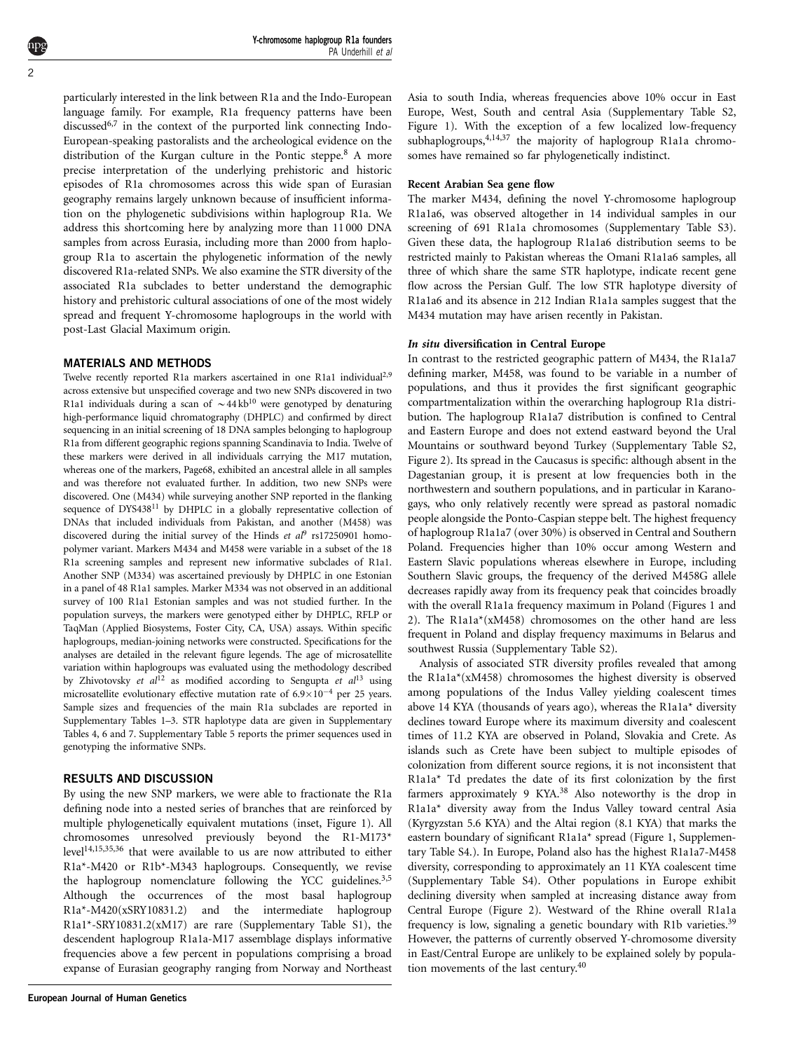particularly interested in the link between R1a and the Indo-European language family. For example, R1a frequency patterns have been discussed<sup>[6,7](#page-4-0)</sup> in the context of the purported link connecting Indo-European-speaking pastoralists and the archeological evidence on the distribution of the Kurgan culture in the Pontic steppe[.8](#page-4-0) A more precise interpretation of the underlying prehistoric and historic episodes of R1a chromosomes across this wide span of Eurasian geography remains largely unknown because of insufficient information on the phylogenetic subdivisions within haplogroup R1a. We address this shortcoming here by analyzing more than 11 000 DNA samples from across Eurasia, including more than 2000 from haplogroup R1a to ascertain the phylogenetic information of the newly discovered R1a-related SNPs. We also examine the STR diversity of the associated R1a subclades to better understand the demographic history and prehistoric cultural associations of one of the most widely spread and frequent Y-chromosome haplogroups in the world with post-Last Glacial Maximum origin.

#### MATERIALS AND METHODS

Twelve recently reported R1a markers ascertained in one R1a1 individual<sup>[2,9](#page-4-0)</sup> across extensive but unspecified coverage and two new SNPs discovered in two R1a1 individuals during a scan of  $\sim$  44 kb<sup>[10](#page-4-0)</sup> were genotyped by denaturing high-performance liquid chromatography (DHPLC) and confirmed by direct sequencing in an initial screening of 18 DNA samples belonging to haplogroup R1a from different geographic regions spanning Scandinavia to India. Twelve of these markers were derived in all individuals carrying the M17 mutation, whereas one of the markers, Page68, exhibited an ancestral allele in all samples and was therefore not evaluated further. In addition, two new SNPs were discovered. One (M434) while surveying another SNP reported in the flanking sequence of DYS438<sup>11</sup> by DHPLC in a globally representative collection of DNAs that included individuals from Pakistan, and another (M458) was discovered during the initial survey of the Hinds et  $a^{\beta}$  rs17250[9](#page-4-0)01 homopolymer variant. Markers M434 and M458 were variable in a subset of the 18 R1a screening samples and represent new informative subclades of R1a1. Another SNP (M334) was ascertained previously by DHPLC in one Estonian in a panel of 48 R1a1 samples. Marker M334 was not observed in an additional survey of 100 R1a1 Estonian samples and was not studied further. In the population surveys, the markers were genotyped either by DHPLC, RFLP or TaqMan (Applied Biosystems, Foster City, CA, USA) assays. Within specific haplogroups, median-joining networks were constructed. Specifications for the analyses are detailed in the relevant figure legends. The age of microsatellite variation within haplogroups was evaluated using the methodology described by Zhivotovsky et  $al^{12}$  $al^{12}$  $al^{12}$  as modified according to Sengupta et  $al^{13}$  $al^{13}$  $al^{13}$  using microsatellite evolutionary effective mutation rate of  $6.9 \times 10^{-4}$  per 25 years. Sample sizes and frequencies of the main R1a subclades are reported in Supplementary Tables 1–3. STR haplotype data are given in Supplementary Tables 4, 6 and 7. Supplementary Table 5 reports the primer sequences used in genotyping the informative SNPs.

#### RESULTS AND DISCUSSION

By using the new SNP markers, we were able to fractionate the R1a defining node into a nested series of branches that are reinforced by multiple phylogenetically equivalent mutations (inset, [Figure 1\)](#page-2-0). All chromosomes unresolved previously beyond the R1-M173\* leve[l14,15,35,36](#page-4-0) that were available to us are now attributed to either R1a\*-M420 or R1b\*-M343 haplogroups. Consequently, we revise the haplogroup nomenclature following the YCC guidelines.<sup>3,5</sup> Although the occurrences of the most basal haplogroup R1a\*-M420(xSRY10831.2) and the intermediate haplogroup R1a1\*-SRY10831.2(xM17) are rare (Supplementary Table S1), the descendent haplogroup R1a1a-M17 assemblage displays informative frequencies above a few percent in populations comprising a broad expanse of Eurasian geography ranging from Norway and Northeast Asia to south India, whereas frequencies above 10% occur in East Europe, West, South and central Asia (Supplementary Table S2, [Figure 1\)](#page-2-0). With the exception of a few localized low-frequency subhaplogroups,<sup>4,14,37</sup> the majority of haplogroup R1a1a chromosomes have remained so far phylogenetically indistinct.

#### Recent Arabian Sea gene flow

The marker M434, defining the novel Y-chromosome haplogroup R1a1a6, was observed altogether in 14 individual samples in our screening of 691 R1a1a chromosomes (Supplementary Table S3). Given these data, the haplogroup R1a1a6 distribution seems to be restricted mainly to Pakistan whereas the Omani R1a1a6 samples, all three of which share the same STR haplotype, indicate recent gene flow across the Persian Gulf. The low STR haplotype diversity of R1a1a6 and its absence in 212 Indian R1a1a samples suggest that the M434 mutation may have arisen recently in Pakistan.

#### In situ diversification in Central Europe

In contrast to the restricted geographic pattern of M434, the R1a1a7 defining marker, M458, was found to be variable in a number of populations, and thus it provides the first significant geographic compartmentalization within the overarching haplogroup R1a distribution. The haplogroup R1a1a7 distribution is confined to Central and Eastern Europe and does not extend eastward beyond the Ural Mountains or southward beyond Turkey (Supplementary Table S2, [Figure 2\)](#page-3-0). Its spread in the Caucasus is specific: although absent in the Dagestanian group, it is present at low frequencies both in the northwestern and southern populations, and in particular in Karanogays, who only relatively recently were spread as pastoral nomadic people alongside the Ponto-Caspian steppe belt. The highest frequency of haplogroup R1a1a7 (over 30%) is observed in Central and Southern Poland. Frequencies higher than 10% occur among Western and Eastern Slavic populations whereas elsewhere in Europe, including Southern Slavic groups, the frequency of the derived M458G allele decreases rapidly away from its frequency peak that coincides broadly with the overall R1a1a frequency maximum in Poland ([Figures 1 and](#page-2-0) [2](#page-2-0)). The R1a1a\*(xM458) chromosomes on the other hand are less frequent in Poland and display frequency maximums in Belarus and southwest Russia (Supplementary Table S2).

Analysis of associated STR diversity profiles revealed that among the R1a1a\*(xM458) chromosomes the highest diversity is observed among populations of the Indus Valley yielding coalescent times above 14 KYA (thousands of years ago), whereas the R1a1a\* diversity declines toward Europe where its maximum diversity and coalescent times of 11.2 KYA are observed in Poland, Slovakia and Crete. As islands such as Crete have been subject to multiple episodes of colonization from different source regions, it is not inconsistent that R1a1a\* Td predates the date of its first colonization by the first farmers approximately 9 KYA.[38](#page-4-0) Also noteworthy is the drop in R1a1a\* diversity away from the Indus Valley toward central Asia (Kyrgyzstan 5.6 KYA) and the Altai region (8.1 KYA) that marks the eastern boundary of significant R1a1a\* spread ([Figure 1](#page-2-0), Supplementary Table S4.). In Europe, Poland also has the highest R1a1a7-M458 diversity, corresponding to approximately an 11 KYA coalescent time (Supplementary Table S4). Other populations in Europe exhibit declining diversity when sampled at increasing distance away from Central Europe [\(Figure 2](#page-3-0)). Westward of the Rhine overall R1a1a frequency is low, signaling a genetic boundary with R1b varieties.[39](#page-4-0) However, the patterns of currently observed Y-chromosome diversity in East/Central Europe are unlikely to be explained solely by population movements of the last century.<sup>40</sup>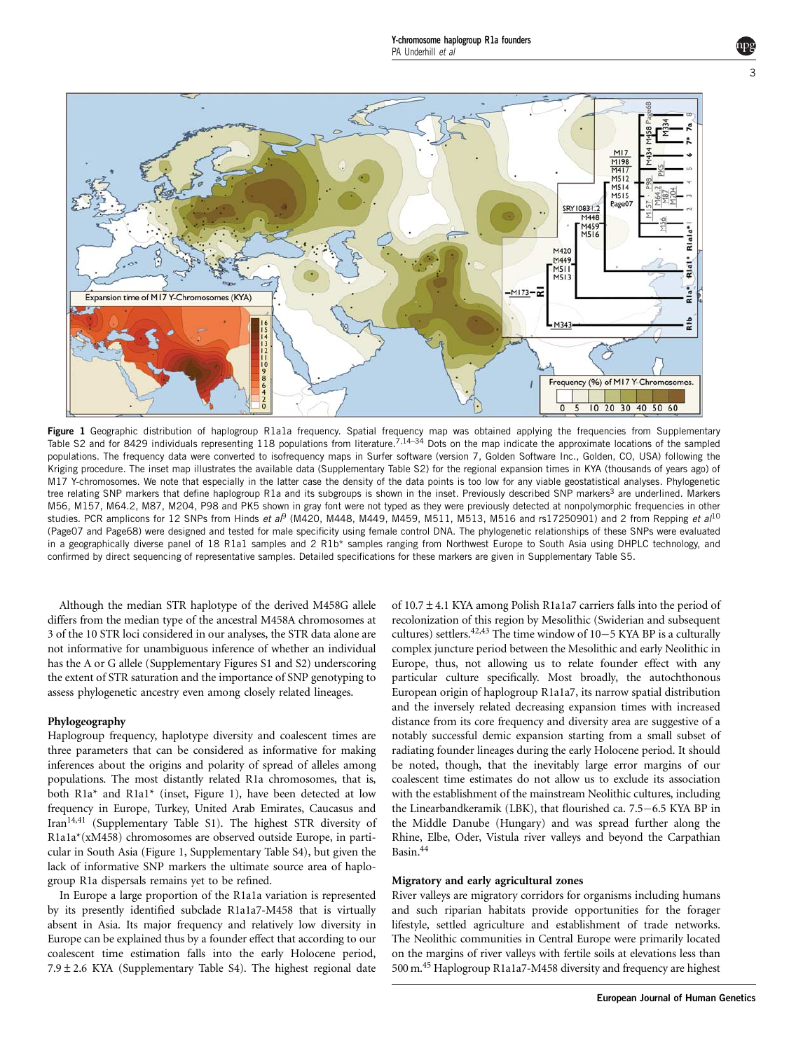<span id="page-2-0"></span>

Figure 1 Geographic distribution of haplogroup R1a1a frequency. Spatial frequency map was obtained applying the frequencies from Supplementary Table S2 and for 8429 individuals representing 118 populations from literature.[7,14–34](#page-4-0) Dots on the map indicate the approximate locations of the sampled populations. The frequency data were converted to isofrequency maps in Surfer software (version 7, Golden Software Inc., Golden, CO, USA) following the Kriging procedure. The inset map illustrates the available data (Supplementary Table S2) for the regional expansion times in KYA (thousands of years ago) of M17 Y-chromosomes. We note that especially in the latter case the density of the data points is too low for any viable geostatistical analyses. Phylogenetic tree relating SNP markers that define haplogroup R1a and its subgroups is shown in the inset. Previously described SNP markers<sup>[3](#page-4-0)</sup> are underlined. Markers M56, M157, M64.2, M87, M204, P98 and PK5 shown in gray font were not typed as they were previously detected at nonpolymorphic frequencies in other studies. PCR amplicons for 12 SNPs from Hinds et a $\beta$  (M420, M448, M44[9](#page-4-0), M459, M511, M513, M516 and rs17250901) and 2 from Repping et al<sup>[10](#page-4-0)</sup> (Page07 and Page68) were designed and tested for male specificity using female control DNA. The phylogenetic relationships of these SNPs were evaluated in a geographically diverse panel of 18 R1a1 samples and 2 R1b\* samples ranging from Northwest Europe to South Asia using DHPLC technology, and confirmed by direct sequencing of representative samples. Detailed specifications for these markers are given in Supplementary Table S5.

Although the median STR haplotype of the derived M458G allele differs from the median type of the ancestral M458A chromosomes at 3 of the 10 STR loci considered in our analyses, the STR data alone are not informative for unambiguous inference of whether an individual has the A or G allele (Supplementary Figures S1 and S2) underscoring the extent of STR saturation and the importance of SNP genotyping to assess phylogenetic ancestry even among closely related lineages.

#### Phylogeography

Haplogroup frequency, haplotype diversity and coalescent times are three parameters that can be considered as informative for making inferences about the origins and polarity of spread of alleles among populations. The most distantly related R1a chromosomes, that is, both R1a\* and R1a1\* (inset, Figure 1), have been detected at low frequency in Europe, Turkey, United Arab Emirates, Caucasus and Iran[14,41](#page-4-0) (Supplementary Table S1). The highest STR diversity of R1a1a\*(xM458) chromosomes are observed outside Europe, in particular in South Asia (Figure 1, Supplementary Table S4), but given the lack of informative SNP markers the ultimate source area of haplogroup R1a dispersals remains yet to be refined.

In Europe a large proportion of the R1a1a variation is represented by its presently identified subclade R1a1a7-M458 that is virtually absent in Asia. Its major frequency and relatively low diversity in Europe can be explained thus by a founder effect that according to our coalescent time estimation falls into the early Holocene period,  $7.9 \pm 2.6$  KYA (Supplementary Table S4). The highest regional date

of 10.7±4.1 KYA among Polish R1a1a7 carriers falls into the period of recolonization of this region by Mesolithic (Swiderian and subsequent cultures) settlers.<sup>42,43</sup> The time window of  $10-5$  KYA BP is a culturally complex juncture period between the Mesolithic and early Neolithic in Europe, thus, not allowing us to relate founder effect with any particular culture specifically. Most broadly, the autochthonous European origin of haplogroup R1a1a7, its narrow spatial distribution and the inversely related decreasing expansion times with increased distance from its core frequency and diversity area are suggestive of a notably successful demic expansion starting from a small subset of radiating founder lineages during the early Holocene period. It should be noted, though, that the inevitably large error margins of our coalescent time estimates do not allow us to exclude its association with the establishment of the mainstream Neolithic cultures, including the Linearbandkeramik (LBK), that flourished ca.  $7.5-6.5$  KYA BP in the Middle Danube (Hungary) and was spread further along the Rhine, Elbe, Oder, Vistula river valleys and beyond the Carpathian Basin[.44](#page-5-0)

#### Migratory and early agricultural zones

River valleys are migratory corridors for organisms including humans and such riparian habitats provide opportunities for the forager lifestyle, settled agriculture and establishment of trade networks. The Neolithic communities in Central Europe were primarily located on the margins of river valleys with fertile soils at elevations less than 500 m[.45](#page-5-0) Haplogroup R1a1a7-M458 diversity and frequency are highest

3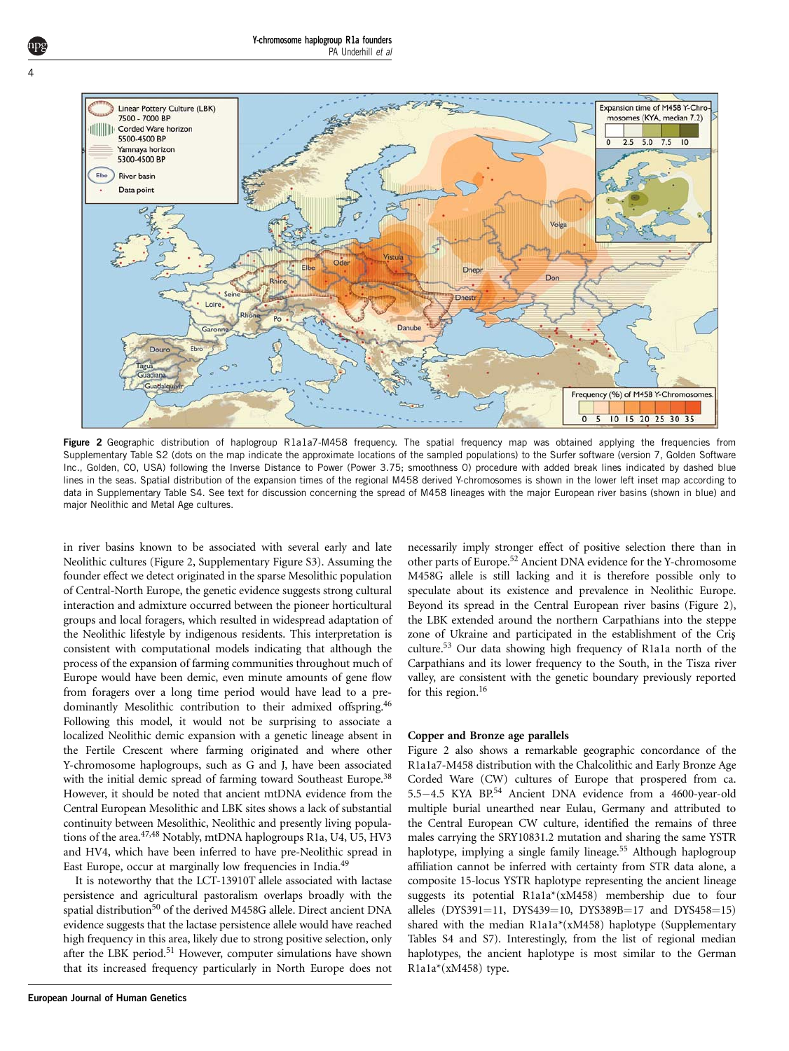<span id="page-3-0"></span>

Figure 2 Geographic distribution of haplogroup R1a1a7-M458 frequency. The spatial frequency map was obtained applying the frequencies from Supplementary Table S2 (dots on the map indicate the approximate locations of the sampled populations) to the Surfer software (version 7, Golden Software Inc., Golden, CO, USA) following the Inverse Distance to Power (Power 3.75; smoothness 0) procedure with added break lines indicated by dashed blue lines in the seas. Spatial distribution of the expansion times of the regional M458 derived Y-chromosomes is shown in the lower left inset map according to data in Supplementary Table S4. See text for discussion concerning the spread of M458 lineages with the major European river basins (shown in blue) and major Neolithic and Metal Age cultures.

in river basins known to be associated with several early and late Neolithic cultures (Figure 2, Supplementary Figure S3). Assuming the founder effect we detect originated in the sparse Mesolithic population of Central-North Europe, the genetic evidence suggests strong cultural interaction and admixture occurred between the pioneer horticultural groups and local foragers, which resulted in widespread adaptation of the Neolithic lifestyle by indigenous residents. This interpretation is consistent with computational models indicating that although the process of the expansion of farming communities throughout much of Europe would have been demic, even minute amounts of gene flow from foragers over a long time period would have lead to a predominantly Mesolithic contribution to their admixed offspring[.46](#page-5-0) Following this model, it would not be surprising to associate a localized Neolithic demic expansion with a genetic lineage absent in the Fertile Crescent where farming originated and where other Y-chromosome haplogroups, such as G and J, have been associated with the initial demic spread of farming toward Southeast Europe.<sup>38</sup> However, it should be noted that ancient mtDNA evidence from the Central European Mesolithic and LBK sites shows a lack of substantial continuity between Mesolithic, Neolithic and presently living populations of the area.<sup>47,48</sup> Notably, mtDNA haplogroups R1a, U4, U5, HV3 and HV4, which have been inferred to have pre-Neolithic spread in East Europe, occur at marginally low frequencies in India[.49](#page-5-0)

It is noteworthy that the LCT-13910T allele associated with lactase persistence and agricultural pastoralism overlaps broadly with the spatial distribution<sup>[50](#page-5-0)</sup> of the derived M458G allele. Direct ancient DNA evidence suggests that the lactase persistence allele would have reached high frequency in this area, likely due to strong positive selection, only after the LBK period.<sup>51</sup> However, computer simulations have shown that its increased frequency particularly in North Europe does not

necessarily imply stronger effect of positive selection there than in other parts of Europe[.52](#page-5-0) Ancient DNA evidence for the Y-chromosome M458G allele is still lacking and it is therefore possible only to speculate about its existence and prevalence in Neolithic Europe. Beyond its spread in the Central European river basins (Figure 2), the LBK extended around the northern Carpathians into the steppe zone of Ukraine and participated in the establishment of the Cris culture.[53](#page-5-0) Our data showing high frequency of R1a1a north of the Carpathians and its lower frequency to the South, in the Tisza river valley, are consistent with the genetic boundary previously reported for this region.<sup>16</sup>

#### Copper and Bronze age parallels

Figure 2 also shows a remarkable geographic concordance of the R1a1a7-M458 distribution with the Chalcolithic and Early Bronze Age Corded Ware (CW) cultures of Europe that prospered from ca. 5.5-4.5 KYA BP.<sup>[54](#page-5-0)</sup> Ancient DNA evidence from a 4600-year-old multiple burial unearthed near Eulau, Germany and attributed to the Central European CW culture, identified the remains of three males carrying the SRY10831.2 mutation and sharing the same YSTR haplotype, implying a single family lineage.<sup>[55](#page-5-0)</sup> Although haplogroup affiliation cannot be inferred with certainty from STR data alone, a composite 15-locus YSTR haplotype representing the ancient lineage suggests its potential R1a1a\*(xM458) membership due to four alleles (DYS391=11, DYS439=10, DYS389B=17 and DYS458=15) shared with the median R1a1a\*(xM458) haplotype (Supplementary Tables S4 and S7). Interestingly, from the list of regional median haplotypes, the ancient haplotype is most similar to the German R1a1a\*(xM458) type.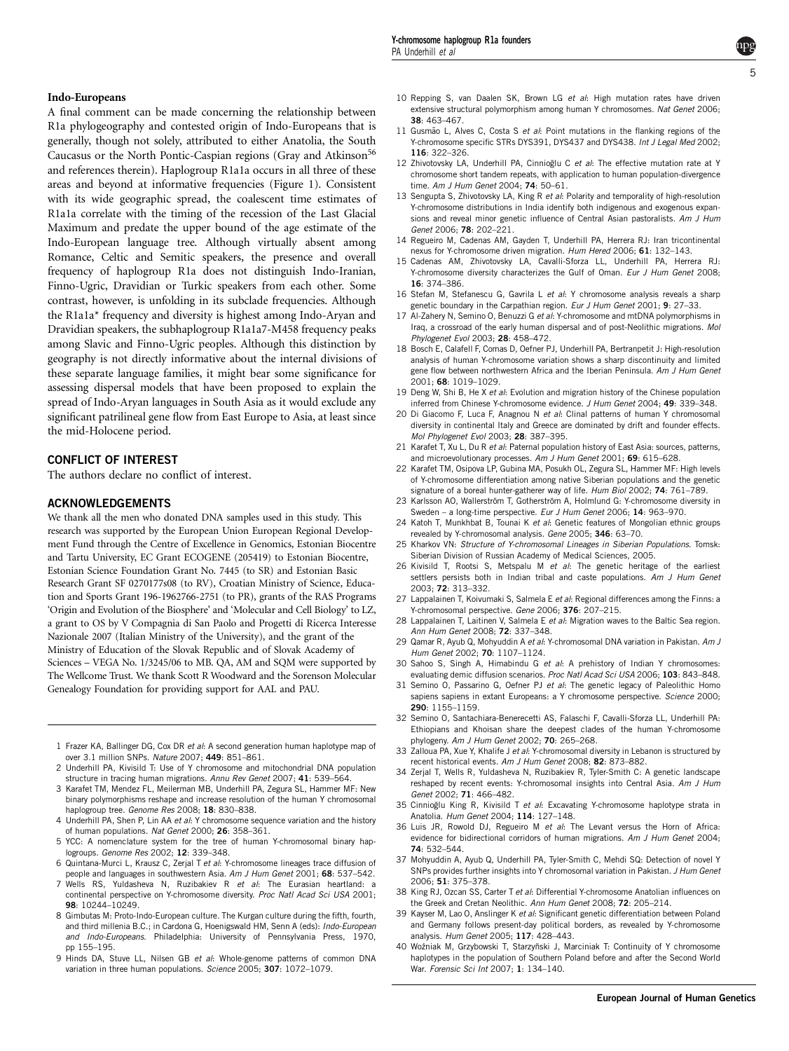### <span id="page-4-0"></span>Indo-Europeans

A final comment can be made concerning the relationship between R1a phylogeography and contested origin of Indo-Europeans that is generally, though not solely, attributed to either Anatolia, the South Caucasus or the North Pontic-Caspian regions (Gray and Atkinson<sup>[56](#page-5-0)</sup> and references therein). Haplogroup R1a1a occurs in all three of these areas and beyond at informative frequencies ([Figure 1](#page-2-0)). Consistent with its wide geographic spread, the coalescent time estimates of R1a1a correlate with the timing of the recession of the Last Glacial Maximum and predate the upper bound of the age estimate of the Indo-European language tree. Although virtually absent among Romance, Celtic and Semitic speakers, the presence and overall frequency of haplogroup R1a does not distinguish Indo-Iranian, Finno-Ugric, Dravidian or Turkic speakers from each other. Some contrast, however, is unfolding in its subclade frequencies. Although the R1a1a\* frequency and diversity is highest among Indo-Aryan and Dravidian speakers, the subhaplogroup R1a1a7-M458 frequency peaks among Slavic and Finno-Ugric peoples. Although this distinction by geography is not directly informative about the internal divisions of these separate language families, it might bear some significance for assessing dispersal models that have been proposed to explain the spread of Indo-Aryan languages in South Asia as it would exclude any significant patrilineal gene flow from East Europe to Asia, at least since the mid-Holocene period.

#### CONFLICT OF INTEREST

The authors declare no conflict of interest.

#### ACKNOWLEDGEMENTS

We thank all the men who donated DNA samples used in this study. This research was supported by the European Union European Regional Development Fund through the Centre of Excellence in Genomics, Estonian Biocentre and Tartu University, EC Grant ECOGENE (205419) to Estonian Biocentre, Estonian Science Foundation Grant No. 7445 (to SR) and Estonian Basic Research Grant SF 0270177s08 (to RV), Croatian Ministry of Science, Education and Sports Grant 196-1962766-2751 (to PR), grants of the RAS Programs 'Origin and Evolution of the Biosphere' and 'Molecular and Cell Biology' to LZ, a grant to OS by V Compagnia di San Paolo and Progetti di Ricerca Interesse Nazionale 2007 (Italian Ministry of the University), and the grant of the Ministry of Education of the Slovak Republic and of Slovak Academy of Sciences – VEGA No. 1/3245/06 to MB. QA, AM and SQM were supported by The Wellcome Trust. We thank Scott R Woodward and the Sorenson Molecular Genealogy Foundation for providing support for AAL and PAU.

- 1 Frazer KA, Ballinger DG, Cox DR et al: A second generation human haplotype map of over 3.1 million SNPs. Nature 2007; 449: 851–861.
- 2 Underhill PA, Kivisild T: Use of Y chromosome and mitochondrial DNA population structure in tracing human migrations. Annu Rev Genet 2007; 41: 539–564.
- 3 Karafet TM, Mendez FL, Meilerman MB, Underhill PA, Zegura SL, Hammer MF: New binary polymorphisms reshape and increase resolution of the human Y chromosomal haplogroup tree. Genome Res 2008; 18: 830-838.
- 4 Underhill PA, Shen P, Lin AA et al: Y chromosome sequence variation and the history of human populations. Nat Genet 2000; 26: 358–361.
- 5 YCC: A nomenclature system for the tree of human Y-chromosomal binary haplogroups. Genome Res 2002; 12: 339–348.
- 6 Quintana-Murci L, Krausz C, Zerjal T et al: Y-chromosome lineages trace diffusion of people and languages in southwestern Asia. Am J Hum Genet 2001; 68: 537–542.
- 7 Wells RS, Yuldasheva N, Ruzibakiev R et al: The Eurasian heartland: a continental perspective on Y-chromosome diversity. Proc Natl Acad Sci USA 2001; 98: 10244–10249.
- 8 Gimbutas M: Proto-Indo-European culture. The Kurgan culture during the fifth, fourth, and third millenia B.C.; in Cardona G, Hoenigswald HM, Senn A (eds): Indo-European and Indo-Europeans. Philadelphia: University of Pennsylvania Press, 1970, pp 155–195.
- 9 Hinds DA, Stuve LL, Nilsen GB et al: Whole-genome patterns of common DNA variation in three human populations. Science 2005; 307: 1072–1079.
- 10 Repping S, van Daalen SK, Brown LG et al: High mutation rates have driven extensive structural polymorphism among human Y chromosomes. Nat Genet 2006: 38: 463–467.
- 11 Gusmão L. Alves C, Costa S et al: Point mutations in the flanking regions of the Y-chromosome specific STRs DYS391, DYS437 and DYS438. Int J Legal Med 2002; 116: 322–326.
- 12 Zhivotovsky LA, Underhill PA, Cinnioğlu C et al: The effective mutation rate at Y chromosome short tandem repeats, with application to human population-divergence time. Am J Hum Genet 2004; 74: 50–61.
- 13 Sengupta S, Zhivotovsky LA, King R et al: Polarity and temporality of high-resolution Y-chromosome distributions in India identify both indigenous and exogenous expansions and reveal minor genetic influence of Central Asian pastoralists. Am J Hum Genet 2006; 78: 202–221.
- 14 Regueiro M, Cadenas AM, Gayden T, Underhill PA, Herrera RJ: Iran tricontinental nexus for Y-chromosome driven migration. Hum Hered 2006; 61: 132–143.
- 15 Cadenas AM, Zhivotovsky LA, Cavalli-Sforza LL, Underhill PA, Herrera RJ: Y-chromosome diversity characterizes the Gulf of Oman. Eur J Hum Genet 2008; 16: 374–386.
- 16 Stefan M, Stefanescu G, Gavrila L et al: Y chromosome analysis reveals a sharp genetic boundary in the Carpathian region. Eur J Hum Genet 2001; 9: 27–33.
- 17 Al-Zahery N, Semino O, Benuzzi G et al: Y-chromosome and mtDNA polymorphisms in Iraq, a crossroad of the early human dispersal and of post-Neolithic migrations. Mol Phylogenet Evol 2003; 28: 458–472.
- 18 Bosch E, Calafell F, Comas D, Oefner PJ, Underhill PA, Bertranpetit J: High-resolution analysis of human Y-chromosome variation shows a sharp discontinuity and limited gene flow between northwestern Africa and the Iberian Peninsula. Am J Hum Genet 2001; 68: 1019–1029.
- 19 Deng W, Shi B, He X et al: Evolution and migration history of the Chinese population inferred from Chinese Y-chromosome evidence. J Hum Genet 2004: 49: 339-348.
- 20 Di Giacomo F, Luca F, Anagnou N et al: Clinal patterns of human Y chromosomal diversity in continental Italy and Greece are dominated by drift and founder effects. Mol Phylogenet Evol 2003; 28: 387–395.
- 21 Karafet T, Xu L, Du R et al: Paternal population history of East Asia: sources, patterns, and microevolutionary processes. Am J Hum Genet 2001; 69: 615-628.
- 22 Karafet TM, Osipova LP, Gubina MA, Posukh OL, Zegura SL, Hammer MF: High levels of Y-chromosome differentiation among native Siberian populations and the genetic signature of a boreal hunter-gatherer way of life. Hum Biol 2002; 74: 761-789.
- 23 Karlsson AO, Wallerström T, Gotherström A, Holmlund G: Y-chromosome diversity in Sweden – a long-time perspective. Eur J Hum Genet 2006; 14: 963–970.
- 24 Katoh T, Munkhbat B, Tounai K et al: Genetic features of Mongolian ethnic groups revealed by Y-chromosomal analysis. Gene 2005; 346: 63–70.
- 25 Kharkov VN: Structure of Y-chromosomal Lineages in Siberian Populations. Tomsk: Siberian Division of Russian Academy of Medical Sciences, 2005.
- 26 Kivisild T, Rootsi S, Metspalu M et al: The genetic heritage of the earliest settlers persists both in Indian tribal and caste populations. Am J Hum Genet 2003; 72: 313–332.
- 27 Lappalainen T, Koivumaki S, Salmela E et al: Regional differences among the Finns: a Y-chromosomal perspective. Gene 2006; 376: 207–215.
- 28 Lappalainen T, Laitinen V, Salmela E et al: Migration waves to the Baltic Sea region. Ann Hum Genet 2008; 72: 337–348.
- 29 Qamar R, Ayub Q, Mohyuddin A et al: Y-chromosomal DNA variation in Pakistan. Am J Hum Genet 2002; 70: 1107–1124.
- 30 Sahoo S, Singh A, Himabindu G et al: A prehistory of Indian Y chromosomes: evaluating demic diffusion scenarios. Proc Natl Acad Sci USA 2006; 103: 843-848.
- 31 Semino O, Passarino G, Oefner PJ et al: The genetic legacy of Paleolithic Homo sapiens sapiens in extant Europeans: a Y chromosome perspective. Science 2000; 290: 1155–1159.
- 32 Semino O, Santachiara-Benerecetti AS, Falaschi F, Cavalli-Sforza LL, Underhill PA: Ethiopians and Khoisan share the deepest clades of the human Y-chromosome phylogeny. Am J Hum Genet 2002; 70: 265–268.
- 33 Zalloua PA, Xue Y, Khalife J et al: Y-chromosomal diversity in Lebanon is structured by recent historical events. Am J Hum Genet 2008; 82: 873–882.
- 34 Zerjal T, Wells R, Yuldasheva N, Ruzibakiev R, Tyler-Smith C: A genetic landscape reshaped by recent events: Y-chromosomal insights into Central Asia. Am J Hum Genet 2002; 71: 466–482.
- 35 Cinnioğlu King R, Kivisild T et al: Excavating Y-chromosome haplotype strata in Anatolia. Hum Genet 2004; 114: 127–148.
- 36 Luis JR, Rowold DJ, Regueiro M et al: The Levant versus the Horn of Africa: evidence for bidirectional corridors of human migrations. Am J Hum Genet 2004; 74: 532–544.
- 37 Mohyuddin A, Ayub Q, Underhill PA, Tyler-Smith C, Mehdi SQ: Detection of novel Y SNPs provides further insights into Y chromosomal variation in Pakistan. J Hum Genet 2006; 51: 375–378.
- 38 King RJ, Ozcan SS, Carter T et al: Differential Y-chromosome Anatolian influences on the Greek and Cretan Neolithic. Ann Hum Genet 2008; 72: 205–214.
- 39 Kayser M, Lao O, Anslinger K et al: Significant genetic differentiation between Poland and Germany follows present-day political borders, as revealed by Y-chromosome analysis. Hum Genet 2005; 117: 428–443.
- 40 Woźniak M, Grzybowski T, Starzyñski J, Marciniak T; Continuity of Y chromosome haplotypes in the population of Southern Poland before and after the Second World War. Forensic Sci Int 2007; 1: 134–140.